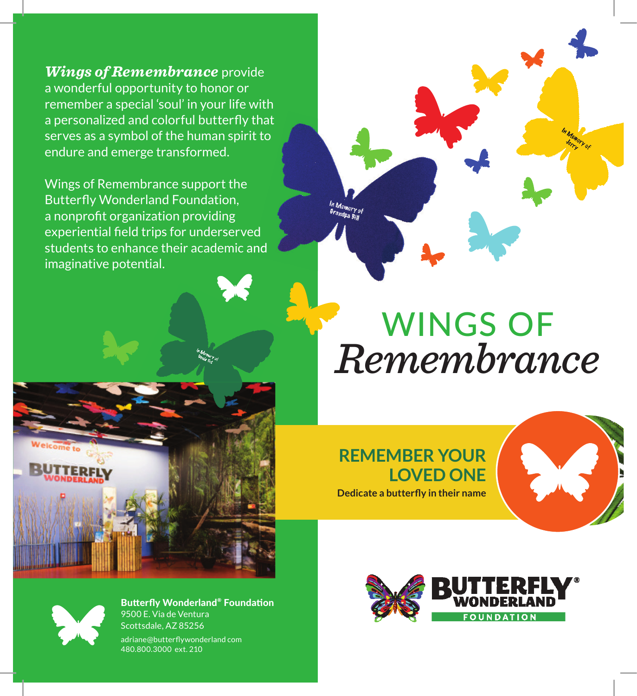*Wings of Remembrance* provide a wonderful opportunity to honor or remember a special 'soul' in your life with a personalized and colorful butterfly that serves as a symbol of the human spirit to endure and emerge transformed.

Wings of Remembrance support the Butterfly Wonderland Foundation, a nonprofit organization providing experiential field trips for underserved students to enhance their academic and imaginative potential.



## WINGS OF *Remembrance*

**REMEMBER YOUR LOVED ONE Dedicate a butterfly in their name** 





**Butterfly Wonderland® Foundation** 9500 E. Via de Ventura Scottsdale, AZ 85256 adriane@butterflywonderland com 480.800.3000 ext. 210